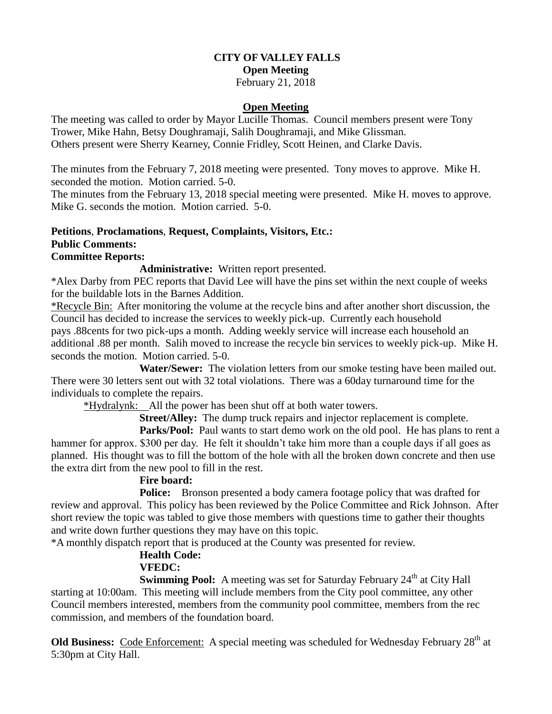# **CITY OF VALLEY FALLS Open Meeting**

#### February 21, 2018

#### **Open Meeting**

The meeting was called to order by Mayor Lucille Thomas. Council members present were Tony Trower, Mike Hahn, Betsy Doughramaji, Salih Doughramaji, and Mike Glissman. Others present were Sherry Kearney, Connie Fridley, Scott Heinen, and Clarke Davis.

The minutes from the February 7, 2018 meeting were presented. Tony moves to approve. Mike H. seconded the motion. Motion carried. 5-0.

The minutes from the February 13, 2018 special meeting were presented. Mike H. moves to approve. Mike G. seconds the motion. Motion carried. 5-0.

### **Petitions**, **Proclamations**, **Request, Complaints, Visitors, Etc.: Public Comments:**

### **Committee Reports:**

**Administrative:** Written report presented.

\*Alex Darby from PEC reports that David Lee will have the pins set within the next couple of weeks for the buildable lots in the Barnes Addition.

\*Recycle Bin: After monitoring the volume at the recycle bins and after another short discussion, the Council has decided to increase the services to weekly pick-up. Currently each household pays .88cents for two pick-ups a month. Adding weekly service will increase each household an additional .88 per month. Salih moved to increase the recycle bin services to weekly pick-up. Mike H. seconds the motion. Motion carried. 5-0.

 **Water/Sewer:** The violation letters from our smoke testing have been mailed out. There were 30 letters sent out with 32 total violations. There was a 60day turnaround time for the individuals to complete the repairs.

\*Hydralynk: All the power has been shut off at both water towers.

**Street/Alley:** The dump truck repairs and injector replacement is complete.

**Parks/Pool:** Paul wants to start demo work on the old pool. He has plans to rent a hammer for approx. \$300 per day. He felt it shouldn't take him more than a couple days if all goes as planned. His thought was to fill the bottom of the hole with all the broken down concrete and then use the extra dirt from the new pool to fill in the rest.

## **Fire board:**

**Police:** Bronson presented a body camera footage policy that was drafted for review and approval. This policy has been reviewed by the Police Committee and Rick Johnson. After short review the topic was tabled to give those members with questions time to gather their thoughts and write down further questions they may have on this topic.

\*A monthly dispatch report that is produced at the County was presented for review.

## **Health Code:**

### **VFEDC:**

**Swimming Pool:** A meeting was set for Saturday February 24<sup>th</sup> at City Hall starting at 10:00am. This meeting will include members from the City pool committee, any other Council members interested, members from the community pool committee, members from the rec commission, and members of the foundation board.

**Old Business:** Code Enforcement: A special meeting was scheduled for Wednesday February 28<sup>th</sup> at 5:30pm at City Hall.